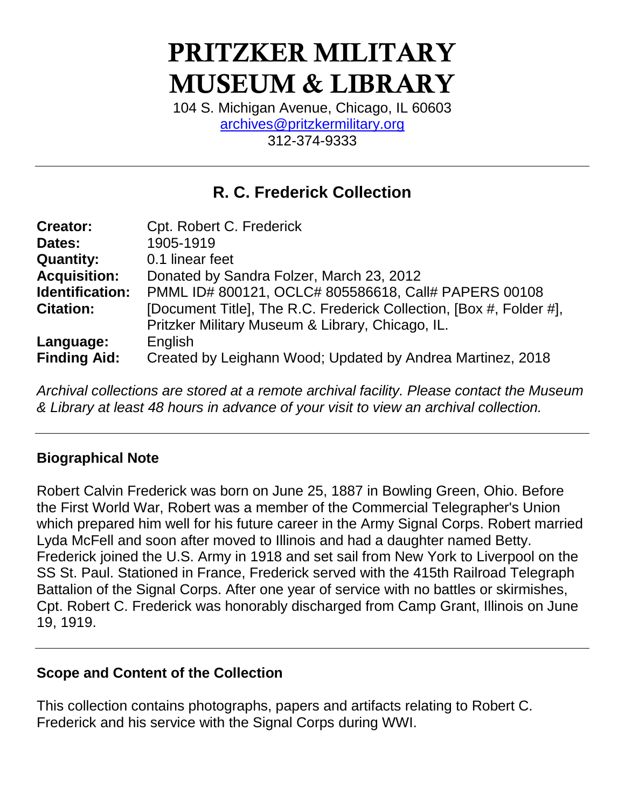# **PRITZKER MILITARY MUSEUM & LIBRARY**

104 S. Michigan Avenue, Chicago, IL 60603 [archives@pritzkermilitary.org](mailto:archives@pritzkermilitary.org) 312-374-9333

# **R. C. Frederick Collection**

| <b>Creator:</b>     | Cpt. Robert C. Frederick                                            |
|---------------------|---------------------------------------------------------------------|
| Dates:              | 1905-1919                                                           |
| <b>Quantity:</b>    | 0.1 linear feet                                                     |
| <b>Acquisition:</b> | Donated by Sandra Folzer, March 23, 2012                            |
| Identification:     | PMML ID# 800121, OCLC# 805586618, Call# PAPERS 00108                |
| <b>Citation:</b>    | [Document Title], The R.C. Frederick Collection, [Box #, Folder #], |
|                     | Pritzker Military Museum & Library, Chicago, IL.                    |
| Language:           | English                                                             |
| <b>Finding Aid:</b> | Created by Leighann Wood; Updated by Andrea Martinez, 2018          |

*Archival collections are stored at a remote archival facility. Please contact the Museum & Library at least 48 hours in advance of your visit to view an archival collection.*

## **Biographical Note**

Robert Calvin Frederick was born on June 25, 1887 in Bowling Green, Ohio. Before the First World War, Robert was a member of the Commercial Telegrapher's Union which prepared him well for his future career in the Army Signal Corps. Robert married Lyda McFell and soon after moved to Illinois and had a daughter named Betty. Frederick joined the U.S. Army in 1918 and set sail from New York to Liverpool on the SS St. Paul. Stationed in France, Frederick served with the 415th Railroad Telegraph Battalion of the Signal Corps. After one year of service with no battles or skirmishes, Cpt. Robert C. Frederick was honorably discharged from Camp Grant, Illinois on June 19, 1919.

## **Scope and Content of the Collection**

This collection contains photographs, papers and artifacts relating to Robert C. Frederick and his service with the Signal Corps during WWI.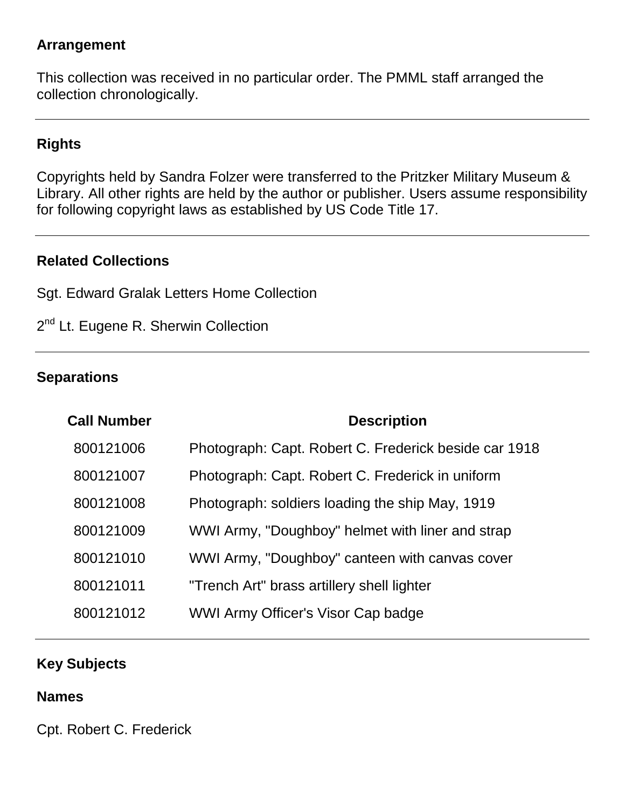#### **Arrangement**

This collection was received in no particular order. The PMML staff arranged the collection chronologically.

# **Rights**

Copyrights held by Sandra Folzer were transferred to the Pritzker Military Museum & Library. All other rights are held by the author or publisher. Users assume responsibility for following copyright laws as established by US Code Title 17.

#### **Related Collections**

Sgt. Edward Gralak Letters Home Collection

2<sup>nd</sup> Lt. Eugene R. Sherwin Collection

#### **Separations**

| <b>Call Number</b> | <b>Description</b>                                    |
|--------------------|-------------------------------------------------------|
| 800121006          | Photograph: Capt. Robert C. Frederick beside car 1918 |
| 800121007          | Photograph: Capt. Robert C. Frederick in uniform      |
| 800121008          | Photograph: soldiers loading the ship May, 1919       |
| 800121009          | WWI Army, "Doughboy" helmet with liner and strap      |
| 800121010          | WWI Army, "Doughboy" canteen with canvas cover        |
| 800121011          | "Trench Art" brass artillery shell lighter            |
| 800121012          | WWI Army Officer's Visor Cap badge                    |

#### **Key Subjects**

#### **Names**

Cpt. Robert C. Frederick